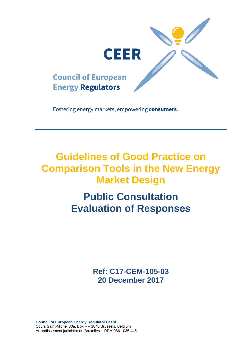

Fostering energy markets, empowering consumers.

# **Guidelines of Good Practice on Comparison Tools in the New Energy Market Design**

# **Public Consultation Evaluation of Responses**

**Ref: C17-CEM-105-03 20 December 2017**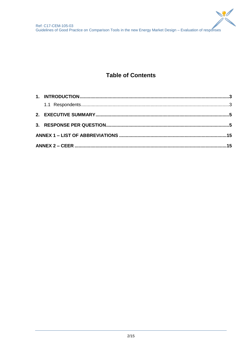

# **Table of Contents**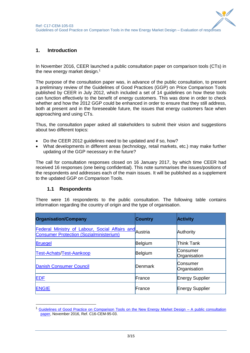# <span id="page-2-0"></span>**1. Introduction**

In November 2016, CEER launched a public consultation paper on comparison tools (CTs) in the new energy market design.<sup>1</sup>

The purpose of the consultation paper was, in advance of the public consultation, to present a preliminary review of the Guidelines of Good Practices (GGP) on Price Comparison Tools published by CEER in July 2012, which included a set of 14 guidelines on how these tools can function effectively to the benefit of energy customers. This was done in order to check whether and how the 2012 GGP could be enhanced in order to ensure that they still address, both at present and in the foreseeable future, the issues that energy customers face when approaching and using CTs.

Thus, the consultation paper asked all stakeholders to submit their vision and suggestions about two different topics:

- Do the CEER 2012 guidelines need to be updated and if so, how?
- What developments in different areas (technology, retail markets, etc.) may make further updating of the GGP necessary in the future?

The call for consultation responses closed on 16 January 2017, by which time CEER had received 16 responses (one being confidential). This note summarises the issues/positions of the respondents and addresses each of the main issues. It will be published as a supplement to the updated GGP on Comparison Tools.

## **1.1 Respondents**

1

<span id="page-2-1"></span>There were 16 respondents to the public consultation. The following table contains information regarding the country of origin and the type of organisation.

| <b>Organisation/Company</b>                                                                              | <b>Country</b> | <b>Activity</b>          |
|----------------------------------------------------------------------------------------------------------|----------------|--------------------------|
| Federal Ministry of Labour, Social Affairs and Austria<br><b>Consumer Protection (Sozialministerium)</b> |                | Authority                |
| <b>Bruegel</b>                                                                                           | Belgium        | <b>Think Tank</b>        |
| <b>Test-Achats/Test-Aankoop</b>                                                                          | Belgium        | Consumer<br>Organisation |
| <b>Danish Consumer Council</b>                                                                           | Denmark        | Consumer<br>Organisation |
| <b>EDF</b>                                                                                               | France         | <b>Energy Supplier</b>   |
| <b>ENGIE</b>                                                                                             | France         | <b>Energy Supplier</b>   |

<sup>1</sup> [Guidelines of Good Practice on Comparison Tools on the New Energy Market Design –](https://www.ceer.eu/eer_consult/closed_public_consultations/customers/cts) A public consultation [paper,](https://www.ceer.eu/eer_consult/closed_public_consultations/customers/cts) November 2016, Ref. C16-CEM-95-03.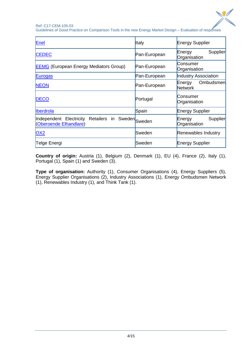

Ref: C17-CEM-105-03 Guidelines of Good Practice on Comparison Tools in the new Energy Market Design – Evaluation of responses

| Enel                                                                         | <b>Italy</b> | <b>Energy Supplier</b>                |
|------------------------------------------------------------------------------|--------------|---------------------------------------|
|                                                                              |              |                                       |
| <b>CEDEC</b>                                                                 | Pan-European | Supplier<br>Energy<br>Organisation    |
| <b>EEMG</b> (European Energy Mediators Group)                                | Pan-European | Consumer<br>Organisation              |
| <b>Eurogas</b>                                                               | Pan-European | Industry Association                  |
| <b>NEON</b>                                                                  | Pan-European | Ombudsmen<br>Energy<br><b>Network</b> |
| <b>DECO</b>                                                                  | Portugal     | Consumer<br>Organisation              |
| <b>Iberdrola</b>                                                             | Spain        | Energy Supplier                       |
| Independent Electricity Retailers in Sweden Sweden<br>(Oberoende Elhandlare) |              | Supplier<br>Energy<br>Organisation    |
| <b>OX2</b>                                                                   | Sweden       | Renewables Industry                   |
| Telge Energi                                                                 | Sweden       | <b>Energy Supplier</b>                |

**Country of origin:** Austria (1), Belgium (2), Denmark (1), EU (4), France (2), Italy (1), Portugal (1), Spain (1) and Sweden (3).

**Type of organisation:** Authority (1), Consumer Organisations (4), Energy Suppliers (5), Energy Supplier Organisations (2), Industry Associations (1), Energy Ombudsmen Network (1), Renewables Industry (1), and Think Tank (1).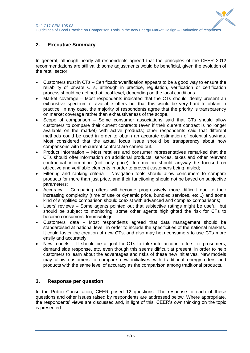$\mathbf{Q}$ 

# <span id="page-4-0"></span>**2. Executive Summary**

In general, although nearly all respondents agreed that the principles of the CEER 2012 recommendations are still valid; some adjustments would be beneficial, given the evolution of the retail sector.

- Customers trust in CTs Certification/verification appears to be a good way to ensure the reliability of private CTs, although in practice, regulation, verification or certification process should be defined at local level, depending on the local conditions.
- Market coverage Most respondents indicated that the CTs should ideally present an exhaustive spectrum of available offers but that this would be very hard to obtain in practice. In any case, the majority of respondents agree that the priority is transparency on market coverage rather than exhaustiveness of the scope.
- Scope of comparison Some consumer associations said that CTs should allow customers to compare their current contracts (even if their current contract is no longer available on the market) with active products; other respondents said that different methods could be used in order to obtain an accurate estimation of potential savings. Most considered that the actual focus issue should be transparency about how comparisons with the current contract are carried out.
- Product information Most retailers and consumer representatives remarked that the CTs should offer information on additional products, services, taxes and other relevant contractual information (not only price). Information should anyway be focused on objective and verifiable elements in order to prevent customers being misled;
- Filtering and ranking criteria Navigation tools should allow consumers to compare products for more than just price, and their functioning should not be based on subjective parameters;
- Accuracy Comparing offers will become progressively more difficult due to their increasing complexity (time of use or dynamic price, bundled services, etc...) and some kind of simplified comparison should coexist with advanced and complex comparisons;
- Users' reviews Some agents pointed out that subjective ratings might be useful, but should be subject to monitoring; some other agents highlighted the risk for CTs to become consumers' forums/blogs.
- Customers' data Most respondents agreed that data management should be standardised at national level, in order to include the specificities of the national markets. It could foster the creation of new CTs, and also may help consumers to use CTs more easily and accurately.
- New models It should be a goal for CTs to take into account offers for prosumers, demand side response, etc. even though this seems difficult at present, in order to help customers to learn about the advantages and risks of these new initiatives. New models may allow customers to compare new initiatives with traditional energy offers and products with the same level of accuracy as the comparison among traditional products.

## <span id="page-4-1"></span>**3. Response per question**

In the Public Consultation, CEER posed 12 questions. The response to each of these questions and other issues raised by respondents are addressed below. Where appropriate, the respondents' views are discussed and, in light of this, CEER's own thinking on the topic is presented.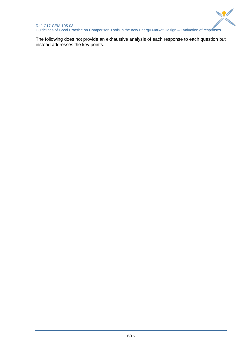

The following does not provide an exhaustive analysis of each response to each question but instead addresses the key points.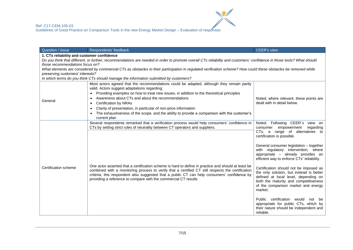| Question / Issue                           | Respondents' feedback                                                                                                                                                                                                                                                                                                                                                      | <b>CEER's view</b>                                                                                                                                                                                                    |
|--------------------------------------------|----------------------------------------------------------------------------------------------------------------------------------------------------------------------------------------------------------------------------------------------------------------------------------------------------------------------------------------------------------------------------|-----------------------------------------------------------------------------------------------------------------------------------------------------------------------------------------------------------------------|
| 1. CTs reliability and customer confidence |                                                                                                                                                                                                                                                                                                                                                                            |                                                                                                                                                                                                                       |
|                                            | Do you think that different, or further, recommendations are needed in order to promote overall CTs reliability and customers' confidence in those tools? What should                                                                                                                                                                                                      |                                                                                                                                                                                                                       |
| those recommendations focus on?            |                                                                                                                                                                                                                                                                                                                                                                            |                                                                                                                                                                                                                       |
|                                            | What elements are considered by commercial CTs as obstacles to their participation in regulated verification scheme? How could these obstacles be removed while                                                                                                                                                                                                            |                                                                                                                                                                                                                       |
| preserving customers' interests?           |                                                                                                                                                                                                                                                                                                                                                                            |                                                                                                                                                                                                                       |
|                                            | In which terms do you think CTs should manage the information submitted by customers?                                                                                                                                                                                                                                                                                      |                                                                                                                                                                                                                       |
|                                            | Most actors agreed that the recommendations could be adapted, although they remain partly<br>valid. Actors suggest adaptations regarding:                                                                                                                                                                                                                                  |                                                                                                                                                                                                                       |
|                                            | Providing examples on how to treat new issues, in addition to the theoretical principles<br>$\bullet$                                                                                                                                                                                                                                                                      |                                                                                                                                                                                                                       |
| General                                    | Awareness about CTs and about the recommendations                                                                                                                                                                                                                                                                                                                          | Noted, where relevant, these points are                                                                                                                                                                               |
|                                            | <b>Certification by NRAs</b><br>$\bullet$                                                                                                                                                                                                                                                                                                                                  | dealt with in detail below.                                                                                                                                                                                           |
|                                            | Clarity of presentation, in particular of non-price information<br>$\bullet$                                                                                                                                                                                                                                                                                               |                                                                                                                                                                                                                       |
|                                            | The exhaustiveness of the scope, and the ability to provide a comparison with the customer's<br>current plan                                                                                                                                                                                                                                                               |                                                                                                                                                                                                                       |
|                                            | Several respondents remarked that a verification process would help consumers' confidence in                                                                                                                                                                                                                                                                               | Noted. Following CEER's view on                                                                                                                                                                                       |
|                                            | CTs by setting strict rules of neutrality between CT operators and suppliers.                                                                                                                                                                                                                                                                                              | empowerment<br>regarding<br>consumer                                                                                                                                                                                  |
|                                            |                                                                                                                                                                                                                                                                                                                                                                            | CTs, a range of alternatives to<br>certification is possible.                                                                                                                                                         |
|                                            |                                                                                                                                                                                                                                                                                                                                                                            | General consumer legislation - together<br>with regulatory intervention, where<br>appropriate - already provides an<br>efficient way to enforce CTs' reliability.                                                     |
| Certification scheme                       | One actor asserted that a certification scheme is hard to define in practice and should at least be<br>combined with a monitoring process to verify that a certified CT still respects the certification<br>criteria; this respondent also suggested that a public CT can help consumers' confidence by<br>providing a reference to compare with the commercial CT results | Certification should not be imposed as<br>the only solution, but instead is better<br>defined at local level, depending on<br>both the maturity and competitiveness<br>of the comparison market and energy<br>market. |
|                                            |                                                                                                                                                                                                                                                                                                                                                                            | Public certification would not be<br>appropriate for public CTs, which by<br>their nature should be independent and<br>reliable.                                                                                      |

 $\sum_{\ell=1}^{\infty}$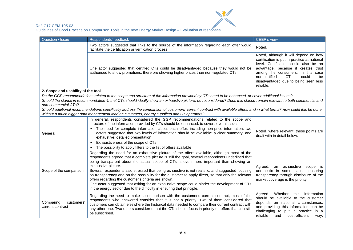

| Question / Issue                                                                                                                                                                  | Respondents' feedback                                                                                                                                                                                                                                                                                                                                                                                                                                                                                                                                                                                                                                                                                                                                       | <b>CEER's view</b>                                                                                                                                                                                                                                                                                                       |
|-----------------------------------------------------------------------------------------------------------------------------------------------------------------------------------|-------------------------------------------------------------------------------------------------------------------------------------------------------------------------------------------------------------------------------------------------------------------------------------------------------------------------------------------------------------------------------------------------------------------------------------------------------------------------------------------------------------------------------------------------------------------------------------------------------------------------------------------------------------------------------------------------------------------------------------------------------------|--------------------------------------------------------------------------------------------------------------------------------------------------------------------------------------------------------------------------------------------------------------------------------------------------------------------------|
|                                                                                                                                                                                   | Two actors suggested that links to the source of the information regarding each offer would<br>facilitate the certification or verification process                                                                                                                                                                                                                                                                                                                                                                                                                                                                                                                                                                                                         | Noted.                                                                                                                                                                                                                                                                                                                   |
| One actor suggested that certified CTs could be disadvantaged because they would not be<br>authorised to show promotions, therefore showing higher prices than non-regulated CTs. |                                                                                                                                                                                                                                                                                                                                                                                                                                                                                                                                                                                                                                                                                                                                                             | Noted, although it will depend on how<br>certification is put in practice at national<br>level. Certification could also be an<br>advantage, because it creates trust<br>among the consumers. In this case<br>could<br>non-certified<br><b>CT<sub>s</sub></b><br>be<br>disadvantaged due to being seen less<br>reliable. |
| 2. Scope and usability of the tool                                                                                                                                                |                                                                                                                                                                                                                                                                                                                                                                                                                                                                                                                                                                                                                                                                                                                                                             |                                                                                                                                                                                                                                                                                                                          |
| non-commercial CTs?                                                                                                                                                               | Do the GGP recommendations related to the scope and structure of the information provided by CTs need to be enhanced, or cover additional issues?<br>Should the stance in recommendation 4, that CTs should ideally show an exhaustive picture, be reconsidered? Does this stance remain relevant to both commercial and                                                                                                                                                                                                                                                                                                                                                                                                                                    |                                                                                                                                                                                                                                                                                                                          |
|                                                                                                                                                                                   | Should additional recommendations specifically address the comparison of customers' current contract with available offers, and in what terms? How could this be done<br>without a much bigger data management load on customers, energy suppliers and CT operators?                                                                                                                                                                                                                                                                                                                                                                                                                                                                                        |                                                                                                                                                                                                                                                                                                                          |
| General                                                                                                                                                                           | In general, respondents considered the GGP recommendations related to the scope and<br>structure of the information provided by CTs should be enhanced, to cover several issues:<br>• The need for complete information about each offer, including non-price information; two<br>actors suggested that two levels of information should be available: a clear summary, and<br>exhaustive, detailed presentation<br>Exhaustiveness of the scope of CTs<br>The possibility to apply filters to the list of offers available                                                                                                                                                                                                                                  | Noted, where relevant, these points are<br>dealt with in detail below.                                                                                                                                                                                                                                                   |
| Scope of the comparison                                                                                                                                                           | Regarding the need for an exhaustive picture of the offers available, although most of the<br>respondents agreed that a complete picture is still the goal, several respondents underlined that<br>being transparent about the actual scope of CTs is even more important than showing an<br>exhaustive picture.<br>Several respondents also stressed that being exhaustive is not realistic, and suggested focusing<br>on transparency and on the possibility for the customer to apply filters, so that only the relevant<br>offers regarding the customer's criteria are shown.<br>One actor suggested that asking for an exhaustive scope could hinder the development of CTs<br>in the energy sector due to the difficulty in ensuring that principle. | an exhaustive scope is<br>Agreed,<br>unrealistic in some cases; ensuring<br>transparency through disclosure of the<br>market coverage is the priority.                                                                                                                                                                   |
| Comparing<br>customers'<br>current contract                                                                                                                                       | Regarding the need to make a comparison with the customer's current contract, most of the<br>respondents who answered consider that it is not a priority. Two of them considered that<br>customers can obtain elsewhere the historical data needed to compare their current contract with<br>any other one. Two others considered that the CTs should focus in priority on offers that can still<br>be subscribed.                                                                                                                                                                                                                                                                                                                                          | information<br>Whether<br>this<br>Agreed.<br>should be available to the customer<br>depends on national circumstances,<br>and providing this information can be<br>challenging to put in practice in a<br>reliable<br>cost-efficient<br>and<br>way,                                                                      |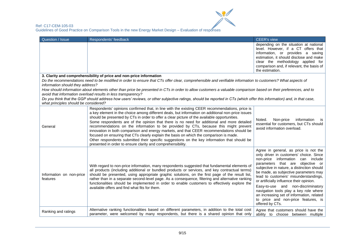

| Question / Issue                      | Respondents' feedback                                                                                                                                                                                                                                                                                                                                                                                                                                                                                                                                                                                                                                                                                                                          | <b>CEER's view</b>                                                                                                                                                                                                                                                                                                                                                                                                                                                                                                              |
|---------------------------------------|------------------------------------------------------------------------------------------------------------------------------------------------------------------------------------------------------------------------------------------------------------------------------------------------------------------------------------------------------------------------------------------------------------------------------------------------------------------------------------------------------------------------------------------------------------------------------------------------------------------------------------------------------------------------------------------------------------------------------------------------|---------------------------------------------------------------------------------------------------------------------------------------------------------------------------------------------------------------------------------------------------------------------------------------------------------------------------------------------------------------------------------------------------------------------------------------------------------------------------------------------------------------------------------|
|                                       |                                                                                                                                                                                                                                                                                                                                                                                                                                                                                                                                                                                                                                                                                                                                                | depending on the situation at national<br>level. However, if a CT offers that<br>information, or provides a saving<br>estimation, it should disclose and make<br>clear the methodology applied for<br>comparison and, if relevant, the basis of<br>the estimation.                                                                                                                                                                                                                                                              |
|                                       | 3. Clarity and comprehensibility of price and non-price information                                                                                                                                                                                                                                                                                                                                                                                                                                                                                                                                                                                                                                                                            |                                                                                                                                                                                                                                                                                                                                                                                                                                                                                                                                 |
|                                       | Do the recommendations need to be modified in order to ensure that CTs offer clear, comprehensible and verifiable information to customers? What aspects of                                                                                                                                                                                                                                                                                                                                                                                                                                                                                                                                                                                    |                                                                                                                                                                                                                                                                                                                                                                                                                                                                                                                                 |
| information should they address?      |                                                                                                                                                                                                                                                                                                                                                                                                                                                                                                                                                                                                                                                                                                                                                |                                                                                                                                                                                                                                                                                                                                                                                                                                                                                                                                 |
|                                       | How should information about elements other than price be presented in CTs in order to allow customers a valuable comparison based on their preferences, and to<br>avoid that information overload results in less transparency?                                                                                                                                                                                                                                                                                                                                                                                                                                                                                                               |                                                                                                                                                                                                                                                                                                                                                                                                                                                                                                                                 |
|                                       | Do you think that the GGP should address how users' reviews, or other subjective ratings, should be reported in CTs (which offer this information) and, in that case,                                                                                                                                                                                                                                                                                                                                                                                                                                                                                                                                                                          |                                                                                                                                                                                                                                                                                                                                                                                                                                                                                                                                 |
| what principles should be considered? | Respondents' opinions confirmed that, in line with the existing CEER recommendations, price is                                                                                                                                                                                                                                                                                                                                                                                                                                                                                                                                                                                                                                                 |                                                                                                                                                                                                                                                                                                                                                                                                                                                                                                                                 |
| General                               | a key element in the choice among different deals, but information on additional non-price issues<br>should be presented by CTs in order to offer a clear picture of the available opportunities.<br>Some respondents are of the opinion that there is no need for additional and more detailed<br>recommendations on the information to be provided by CTs, because this might prevent<br>innovation in both comparison and energy markets, and that CEER recommendations should be<br>focused on ensuring that CTs clearly explain the basis on which the comparison is made.<br>Other respondents submitted their specific suggestions on the key information that should be<br>presented in order to ensure clarity and comprehensibility. | information<br>Noted.<br>Non-price<br><b>IS</b><br>essential for customers, but CTs should<br>avoid information overload.                                                                                                                                                                                                                                                                                                                                                                                                       |
| Information on non-price<br>features  | With regard to non-price information, many respondents suggested that fundamental elements of<br>all products (including additional or bundled products or services, and key contractual terms)<br>should be presented, using appropriate graphic solutions, on the first page of the result list,<br>rather than in a separate second-level page. As a consequence, filtering and alternative ranking<br>functionalities should be implemented in order to enable customers to effectively explore the<br>available offers and find what fits for them.                                                                                                                                                                                       | Agree in general, as price is not the<br>only driver in customers' choice. Since<br>non-price information<br>can include<br>parameters that are objective or<br>subjective in nature, a distinction should<br>be made, as subjective parameters may<br>lead to customers' misunderstandings,<br>or artificially influence their opinion.<br>Easy-to-use and non-discriminatory<br>navigation tools play a key role where<br>an increasing set of information, related<br>to price and non-price features, is<br>offered by CTs. |
| Ranking and ratings                   | Alternative ranking functionalities based on different parameters, in addition to the total cost<br>parameter, were welcomed by many respondents, but there is a shared opinion that only                                                                                                                                                                                                                                                                                                                                                                                                                                                                                                                                                      | Agree that customers should have the<br>ability to choose between multiple                                                                                                                                                                                                                                                                                                                                                                                                                                                      |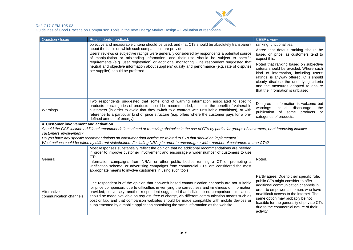

| Question / Issue                                                                                                                                                                                                                                                                                                                                                                                                                                                                                                                                                                                     | Respondents' feedback                                                                                                                                                                                                                                                                                                                                                                                                                                                                                                                                                                        | <b>CEER's view</b>                                                                                                                                                                                                                                                                                                                                                                                                     |  |
|------------------------------------------------------------------------------------------------------------------------------------------------------------------------------------------------------------------------------------------------------------------------------------------------------------------------------------------------------------------------------------------------------------------------------------------------------------------------------------------------------------------------------------------------------------------------------------------------------|----------------------------------------------------------------------------------------------------------------------------------------------------------------------------------------------------------------------------------------------------------------------------------------------------------------------------------------------------------------------------------------------------------------------------------------------------------------------------------------------------------------------------------------------------------------------------------------------|------------------------------------------------------------------------------------------------------------------------------------------------------------------------------------------------------------------------------------------------------------------------------------------------------------------------------------------------------------------------------------------------------------------------|--|
| objective and measurable criteria should be used, and that CTs should be absolutely transparent<br>about the basis on which such comparisons are provided.<br>Users' reviews or subjective ratings were generally considered by respondents a potential source<br>of manipulation or misleading information, and their use should be subject to specific<br>requirements (e.g. user registration) or additional monitoring. One respondent suggested that<br>neutral and objective information about suppliers' quality and performance (e.g. rate of disputes<br>per supplier) should be preferred. |                                                                                                                                                                                                                                                                                                                                                                                                                                                                                                                                                                                              | ranking functionalities.<br>Agree that default ranking should be<br>based on price, as customers tend to<br>expect this.<br>Noted that ranking based on subjective<br>criteria should be avoided. Where such<br>kind of information, including users'<br>ratings, is anyway offered, CTs should<br>clearly disclose the underlying criteria<br>and the measures adopted to ensure<br>that the information is unbiased. |  |
| Warnings                                                                                                                                                                                                                                                                                                                                                                                                                                                                                                                                                                                             | Two respondents suggested that some kind of warning information associated to specific<br>products or categories of products should be recommended, either to the benefit of vulnerable<br>customers (in order to avoid that they switch to a contract with unsuitable conditions), or with<br>reference to a particular kind of price structure (e.g. offers where the customer pays for a pre-<br>defined amount of energy).                                                                                                                                                               | Disagree – information is welcome but<br>could<br>discourage<br>warnings<br>the<br>publication of some<br>products<br>or<br>categories of products.                                                                                                                                                                                                                                                                    |  |
|                                                                                                                                                                                                                                                                                                                                                                                                                                                                                                                                                                                                      | 4. Customer involvement and activation                                                                                                                                                                                                                                                                                                                                                                                                                                                                                                                                                       |                                                                                                                                                                                                                                                                                                                                                                                                                        |  |
| customers' involvement?                                                                                                                                                                                                                                                                                                                                                                                                                                                                                                                                                                              | Should the GGP include additional recommendations aimed at removing obstacles in the use of CTs by particular groups of customers, or at improving inactive                                                                                                                                                                                                                                                                                                                                                                                                                                  |                                                                                                                                                                                                                                                                                                                                                                                                                        |  |
|                                                                                                                                                                                                                                                                                                                                                                                                                                                                                                                                                                                                      | Do you have any specific recommendations on consumer data disclosure related to CTs that should be implemented?                                                                                                                                                                                                                                                                                                                                                                                                                                                                              |                                                                                                                                                                                                                                                                                                                                                                                                                        |  |
|                                                                                                                                                                                                                                                                                                                                                                                                                                                                                                                                                                                                      | What actions could be taken by different stakeholders (including NRAs) in order to encourage a wider number of customers to use CTs?                                                                                                                                                                                                                                                                                                                                                                                                                                                         |                                                                                                                                                                                                                                                                                                                                                                                                                        |  |
| General                                                                                                                                                                                                                                                                                                                                                                                                                                                                                                                                                                                              | Most responses substantially reflect the opinion that no additional recommendations are needed<br>in order to improve customer involvement and encourage a wider number of customers to use<br>CTs.<br>Information campaigns from NRAs or other public bodies running a CT or promoting a<br>verification scheme, or advertising campaigns from commercial CTs, are considered the most<br>appropriate means to involve customers in using such tools.                                                                                                                                       | Noted.                                                                                                                                                                                                                                                                                                                                                                                                                 |  |
| Alternative<br>communication channels                                                                                                                                                                                                                                                                                                                                                                                                                                                                                                                                                                | One respondent is of the opinion that non-web based communication channels are not suitable<br>for price comparison, due to difficulties in verifying the correctness and timeliness of information<br>provided; conversely, another respondent suggested that individualised comparison simulations<br>should be made available on request, free of charge, via different communication means such as<br>post or fax, and that comparison websites should be made compatible with mobile devices or<br>supplemented by a mobile application containing the same information as the website. | Partly agree. Due to their specific role,<br>public CTs might consider to offer<br>additional communication channels in<br>order to empower customers who have<br>no/difficult access to the internet. The<br>same option may probably be not<br>feasible for the generality of private CTs<br>due to the commercial nature of their<br>activity.                                                                      |  |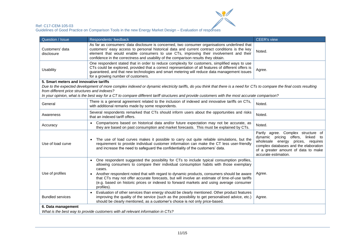

| Question / Issue                                                                                                                                                                                                                                                                                                        | Respondents' feedback                                                                                                                                                                                                                                                                                                                                                                                                                                                                                    | <b>CEER's view</b>                                                                                                                                                                              |
|-------------------------------------------------------------------------------------------------------------------------------------------------------------------------------------------------------------------------------------------------------------------------------------------------------------------------|----------------------------------------------------------------------------------------------------------------------------------------------------------------------------------------------------------------------------------------------------------------------------------------------------------------------------------------------------------------------------------------------------------------------------------------------------------------------------------------------------------|-------------------------------------------------------------------------------------------------------------------------------------------------------------------------------------------------|
| Customers' data<br>disclosure                                                                                                                                                                                                                                                                                           | As far as consumers' data disclosure is concerned, two consumer organisations underlined that<br>customers' easy access to personal historical data and current contract conditions is the key<br>Noted.<br>element that would enable consumers to use CTs, improving their involvement and their<br>confidence in the correctness and usability of the comparison results they obtain.                                                                                                                  |                                                                                                                                                                                                 |
| <b>Usability</b>                                                                                                                                                                                                                                                                                                        | One respondent stated that in order to reduce complexity for customers, simplified ways to use<br>CTs could be explored, provided that a correct representation of all features of different offers is<br>guaranteed, and that new technologies and smart metering will reduce data management issues<br>for a growing number of customers.                                                                                                                                                              |                                                                                                                                                                                                 |
| 5. Smart meters and innovative tariffs                                                                                                                                                                                                                                                                                  |                                                                                                                                                                                                                                                                                                                                                                                                                                                                                                          |                                                                                                                                                                                                 |
| from different price structures and indexes?                                                                                                                                                                                                                                                                            | Due to the expected development of more complex indexed or dynamic electricity tariffs, do you think that there is a need for CTs to compare the final costs resulting                                                                                                                                                                                                                                                                                                                                   |                                                                                                                                                                                                 |
|                                                                                                                                                                                                                                                                                                                         | In your opinion, what is the best way for a CT to compare different tariff structures and provide customers with the most accurate comparison?                                                                                                                                                                                                                                                                                                                                                           |                                                                                                                                                                                                 |
| General                                                                                                                                                                                                                                                                                                                 | There is a general agreement related to the inclusion of indexed and innovative tariffs on CTs,<br>with additional remarks made by some respondents.                                                                                                                                                                                                                                                                                                                                                     | Noted.                                                                                                                                                                                          |
| Awareness                                                                                                                                                                                                                                                                                                               | Several respondents remarked that CTs should inform users about the opportunities and risks<br>that an indexed tariff offers.                                                                                                                                                                                                                                                                                                                                                                            | Noted.                                                                                                                                                                                          |
| Accuracy                                                                                                                                                                                                                                                                                                                | Comparisons based on historical data and/or future expectation may not be accurate, as<br>they are based on past consumption and market forecasts. This must be explained by CTs.                                                                                                                                                                                                                                                                                                                        | Noted.                                                                                                                                                                                          |
| • The use of load curves makes it possible to carry out quite reliable simulations, but the<br>Use of load curve<br>requirement to provide individual customer information can make the CT less user-friendly<br>and increase the need to safeguard the confidentiality of the customers' data.<br>accurate estimation. |                                                                                                                                                                                                                                                                                                                                                                                                                                                                                                          | Partly agree. Complex structure of<br>linked to<br>dynamic pricing offers,<br>wholesale energy prices, requires<br>complex databases and the elaboration<br>of a greater amount of data to make |
| Use of profiles                                                                                                                                                                                                                                                                                                         | • One respondent suggested the possibility for CTs to include typical consumption profiles,<br>allowing consumers to compare their individual consumption habits with those exemplary<br>cases.<br>• Another respondent noted that with regard to dynamic products, consumers should be aware<br>that CTs may not offer accurate forecasts, but will involve an estimate of time-of-use tariffs<br>(e.g. based on historic prices or indexed to forward markets and using average consumer<br>profiles). | Agree.                                                                                                                                                                                          |
| <b>Bundled services</b>                                                                                                                                                                                                                                                                                                 | • Evaluation of other services than energy should be clearly mentioned. Other product features<br>improving the quality of the service (such as the possibility to get personalised advice, etc.)<br>should be clearly mentioned, as a customer's choice is not only price-based.                                                                                                                                                                                                                        | Agree.                                                                                                                                                                                          |
| 6. Data management<br>What is the best way to provide customers with all relevant information in CTs?                                                                                                                                                                                                                   |                                                                                                                                                                                                                                                                                                                                                                                                                                                                                                          |                                                                                                                                                                                                 |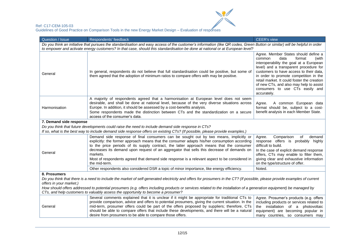

| Question / Issue                                                                                                                                                                                                                                                                                                                                                                                                                                                                                                                    | Respondents' feedback                                                                                                                                                                                                                                                                                                                                                                                                                                                                                        | CEER's view                                                                                                                                                                                                                                                                                                                                                                                     |  |  |  |
|-------------------------------------------------------------------------------------------------------------------------------------------------------------------------------------------------------------------------------------------------------------------------------------------------------------------------------------------------------------------------------------------------------------------------------------------------------------------------------------------------------------------------------------|--------------------------------------------------------------------------------------------------------------------------------------------------------------------------------------------------------------------------------------------------------------------------------------------------------------------------------------------------------------------------------------------------------------------------------------------------------------------------------------------------------------|-------------------------------------------------------------------------------------------------------------------------------------------------------------------------------------------------------------------------------------------------------------------------------------------------------------------------------------------------------------------------------------------------|--|--|--|
| Do you think an initiative that pursues the standardisation and easy access of the customer's information (like QR codes, Green Button or similar) will be helpful in order                                                                                                                                                                                                                                                                                                                                                         |                                                                                                                                                                                                                                                                                                                                                                                                                                                                                                              |                                                                                                                                                                                                                                                                                                                                                                                                 |  |  |  |
|                                                                                                                                                                                                                                                                                                                                                                                                                                                                                                                                     | to empower and activate energy customers? In that case, should this standardisation be done at national or at European level?                                                                                                                                                                                                                                                                                                                                                                                |                                                                                                                                                                                                                                                                                                                                                                                                 |  |  |  |
| General                                                                                                                                                                                                                                                                                                                                                                                                                                                                                                                             | In general, respondents do not believe that full standardisation could be positive, but some of<br>them agreed that the adoption of minimum ratios to compare offers with may be positive.                                                                                                                                                                                                                                                                                                                   | Agree. Member States should define a<br>data<br>format<br>common<br>(with<br>interoperability the goal at a European<br>level) and a transparent procedure for<br>customers to have access to their data,<br>in order to promote competition in the<br>retail market. It could foster the creation<br>of new CTs, and also may help to assist<br>consumers to use CTs easily and<br>accurately. |  |  |  |
| A majority of respondents agreed that a harmonisation at European level does not seem<br>desirable, and shall be done at national level, because of the very diverse situations across<br>A common European data<br>Agree.<br>Europe. In addition, it should be assessed by a cost-benefits analysis.<br>format should be, subject to a cost-<br>Harmonisation<br>Some respondents made the distinction between CTs and the standardization on a secure<br>benefit analysis in each Member State.<br>access of the consumer's data. |                                                                                                                                                                                                                                                                                                                                                                                                                                                                                                              |                                                                                                                                                                                                                                                                                                                                                                                                 |  |  |  |
| 7. Demand side response                                                                                                                                                                                                                                                                                                                                                                                                                                                                                                             |                                                                                                                                                                                                                                                                                                                                                                                                                                                                                                              |                                                                                                                                                                                                                                                                                                                                                                                                 |  |  |  |
|                                                                                                                                                                                                                                                                                                                                                                                                                                                                                                                                     | Do you think that future developments could raise the need to include demand side response in CTs?                                                                                                                                                                                                                                                                                                                                                                                                           |                                                                                                                                                                                                                                                                                                                                                                                                 |  |  |  |
|                                                                                                                                                                                                                                                                                                                                                                                                                                                                                                                                     | If so, what is the best way to include demand side response offers on existing CTs? (If possible, please provide examples.)                                                                                                                                                                                                                                                                                                                                                                                  |                                                                                                                                                                                                                                                                                                                                                                                                 |  |  |  |
| General                                                                                                                                                                                                                                                                                                                                                                                                                                                                                                                             | Demand side response of final consumers can be sought out by two means, implicitly or<br>explicitly: the former approach means that the consumer adapts his/her consumption according<br>to the price periods of its supply contract, the latter approach means that the consumer<br>decreases its demand upon request of an aggregator that sells this decrease of demands on<br>markets.<br>Most of respondents agreed that demand side response is a relevant aspect to be considered in<br>the mid-term. | Comparison<br>of<br>Agree.<br>demand<br>response offers is probably highly<br>difficult to build.<br>In the case of explicit demand response<br>offers, CTs may enable to filter them,<br>giving clear and exhaustive information<br>on the type/structure of offer.                                                                                                                            |  |  |  |
|                                                                                                                                                                                                                                                                                                                                                                                                                                                                                                                                     | Other respondents also considered DSR a topic of minor importance, like energy efficiency.                                                                                                                                                                                                                                                                                                                                                                                                                   | Noted.                                                                                                                                                                                                                                                                                                                                                                                          |  |  |  |
| 8. Prosumers<br>Do you think that there is a need to include the market of self-generated electricity and offers for prosumers in the CT? (If possible, please provide examples of current<br>offers in your market.)<br>How should offers addressed to potential prosumers (e.g. offers including products or services related to the installation of a generation equipment) be managed by<br>CTs, and help customers to valuably assess the opportunity to become a prosumer?                                                    |                                                                                                                                                                                                                                                                                                                                                                                                                                                                                                              |                                                                                                                                                                                                                                                                                                                                                                                                 |  |  |  |
| General                                                                                                                                                                                                                                                                                                                                                                                                                                                                                                                             | Several comments explained that it is unclear if it might be appropriate for traditional CTs to<br>provide comparison, advice and offers to potential prosumers, giving the current situation. In the<br>mid-term, prosumer offers could be part of the offers proposed by suppliers; therefore, CTs<br>should be able to compare offers that include these developments, and there will be a natural<br>desire from prosumers to be able to compare those offers.                                           | Agree. Prosumer's products (e.g. offers<br>including products or services related to<br>the installation of a photovoltaic<br>equipment) are becoming popular in<br>many countries, so consumers may                                                                                                                                                                                            |  |  |  |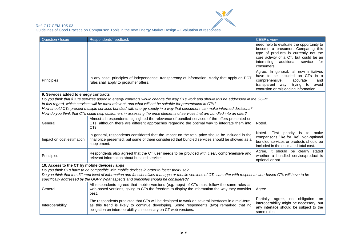

| Question / Issue                                                                                                                                                                                                                                                                                                                                         | Respondents' feedback                                                                                                                                                                                                                                          | <b>CEER's view</b>                                                                                                                                                                                                         |  |
|----------------------------------------------------------------------------------------------------------------------------------------------------------------------------------------------------------------------------------------------------------------------------------------------------------------------------------------------------------|----------------------------------------------------------------------------------------------------------------------------------------------------------------------------------------------------------------------------------------------------------------|----------------------------------------------------------------------------------------------------------------------------------------------------------------------------------------------------------------------------|--|
|                                                                                                                                                                                                                                                                                                                                                          |                                                                                                                                                                                                                                                                | need help to evaluate the opportunity to<br>become a prosumer. Comparing this<br>type of products is currently not the<br>core activity of a CT, but could be an<br>additional service<br>interesting<br>for<br>consumers. |  |
| Principles                                                                                                                                                                                                                                                                                                                                               | In any case, principles of independence, transparency of information, clarity that apply on PCT<br>rules shall apply to prosumer offers.                                                                                                                       | Agree. In general, all new initiatives<br>have to be included on CTs in a<br>comprehensive,<br>accurate<br>and<br>transparent way, trying to<br>avoid<br>confusion or misleading information.                              |  |
| 9. Services added to energy contracts                                                                                                                                                                                                                                                                                                                    |                                                                                                                                                                                                                                                                |                                                                                                                                                                                                                            |  |
|                                                                                                                                                                                                                                                                                                                                                          | Do you think that future services added to energy contracts would change the way CTs work and should this be addressed in the GGP?<br>In this regard, which services will be most relevant, and what will not be suitable for presentation in CTs?             |                                                                                                                                                                                                                            |  |
|                                                                                                                                                                                                                                                                                                                                                          | How should CTs present multiple services bundled with energy supply in a way that consumers can make informed decisions?<br>How do you think that CTs could help customers in assessing the price elements of services that are bundled into an offer?         |                                                                                                                                                                                                                            |  |
| General                                                                                                                                                                                                                                                                                                                                                  | Almost all respondents highlighted the relevance of bundled services of the offers presented on<br>CTs, although there are different approaches regarding the optimal way to integrate them into<br>CTs.                                                       | Noted.                                                                                                                                                                                                                     |  |
| Impact on cost estimation                                                                                                                                                                                                                                                                                                                                | In general, respondents considered that the impact on the total price should be included in the<br>final price presented, but some of them considered that bundled services should be showed as a<br>supplement.                                               | Noted. First priority is to<br>make<br>comparisons 'like for like'. Non-optional<br>bundled services or products should be<br>included in the estimated total cost.                                                        |  |
| Principles                                                                                                                                                                                                                                                                                                                                               | Respondents also agreed that the CT user needs to be provided with clear, comprehensive and<br>relevant information about bundled services.                                                                                                                    | Agree, it should be clearly stated<br>whether a bundled service/product is<br>optional or not.                                                                                                                             |  |
| 10. Access to the CT by mobile devices / apps                                                                                                                                                                                                                                                                                                            |                                                                                                                                                                                                                                                                |                                                                                                                                                                                                                            |  |
| Do you think CTs have to be compatible with mobile devices in order to foster their use?<br>Do you think that the different level of information and functionalities that apps or mobile versions of CTs can offer with respect to web-based CTs will have to be<br>specifically addressed by the GGP? What aspects and principles should be considered? |                                                                                                                                                                                                                                                                |                                                                                                                                                                                                                            |  |
| General                                                                                                                                                                                                                                                                                                                                                  | All respondents agreed that mobile versions (e.g. apps) of CTs must follow the same rules as<br>web-based versions, giving to CTs the freedom to display the information the way they consider<br>best.                                                        | Agree.                                                                                                                                                                                                                     |  |
| Interoperability                                                                                                                                                                                                                                                                                                                                         | The respondents predicted that CTs will be designed to work on several interfaces in a mid-term,<br>as this trend is likely to continue developing. Some respondents (two) remarked that no<br>obligation on interoperability is necessary on CT web versions. | Partially agree,<br>obligation<br>no<br>on<br>interoperability might be necessary, but<br>any interface should be subject to the<br>same rules.                                                                            |  |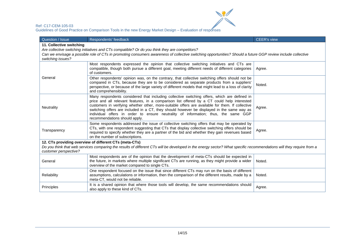

| Question / Issue                                                                                                                                                                                                                                                                                                                                                                                                                                                                                                                             | <b>CEER's view</b><br>Respondents' feedback                                                                                                                                                                                                                                                                                     |        |
|----------------------------------------------------------------------------------------------------------------------------------------------------------------------------------------------------------------------------------------------------------------------------------------------------------------------------------------------------------------------------------------------------------------------------------------------------------------------------------------------------------------------------------------------|---------------------------------------------------------------------------------------------------------------------------------------------------------------------------------------------------------------------------------------------------------------------------------------------------------------------------------|--------|
| 11. Collective switching                                                                                                                                                                                                                                                                                                                                                                                                                                                                                                                     |                                                                                                                                                                                                                                                                                                                                 |        |
|                                                                                                                                                                                                                                                                                                                                                                                                                                                                                                                                              | Are collective switching initiatives and CTs compatible? Or do you think they are competitors?                                                                                                                                                                                                                                  |        |
|                                                                                                                                                                                                                                                                                                                                                                                                                                                                                                                                              | Can we envisage a possible role of CTs in promoting consumers awareness of collective switching opportunities? Should a future GGP review include collective                                                                                                                                                                    |        |
| switching issues?                                                                                                                                                                                                                                                                                                                                                                                                                                                                                                                            |                                                                                                                                                                                                                                                                                                                                 |        |
|                                                                                                                                                                                                                                                                                                                                                                                                                                                                                                                                              | Most respondents expressed the opinion that collective switching initiatives and CTs are<br>compatible, though both pursue a different goal, meeting different needs of different categories<br>of customers.                                                                                                                   | Agree. |
| General                                                                                                                                                                                                                                                                                                                                                                                                                                                                                                                                      | Other respondents' opinion was, on the contrary, that collective switching offers should not be<br>compared in CTs, because they are to be considered as separate products from a suppliers'<br>perspective, or because of the large variety of different models that might lead to a loss of clarity<br>and comprehensibility. | Noted. |
| Many respondents considered that including collective switching offers, which are defined in<br>price and all relevant features, in a comparison list offered by a CT could help interested<br>customers in verifying whether other, more-suitable offers are available for them. If collective<br>Neutrality<br>Agree.<br>switching offers are included in a CT, they should however be displayed in the same way as<br>individual offers in order to ensure neutrality of information; thus, the same GGP<br>recommendations should apply. |                                                                                                                                                                                                                                                                                                                                 |        |
| Some respondents addressed the issue of collective switching offers that may be operated by<br>CTs, with one respondent suggesting that CTs that display collective switching offers should be<br>Transparency<br>Agree.<br>required to specify whether they are a partner of the bid and whether they gain revenues based<br>on the number of subscriptions.                                                                                                                                                                                |                                                                                                                                                                                                                                                                                                                                 |        |
|                                                                                                                                                                                                                                                                                                                                                                                                                                                                                                                                              | 12. CTs providing overview of different CTs (meta-CTs)                                                                                                                                                                                                                                                                          |        |
| Do you think that web services comparing the results of different CTs will be developed in the energy sector? What specific recommendations will they require from a<br>customer perspective?                                                                                                                                                                                                                                                                                                                                                |                                                                                                                                                                                                                                                                                                                                 |        |
| General                                                                                                                                                                                                                                                                                                                                                                                                                                                                                                                                      | Most respondents are of the opinion that the development of meta-CTs should be expected in<br>the future, in markets where multiple significant CTs are running, as they might provide a wider<br>overview of the market compared to single CTs.                                                                                | Noted. |
| Reliability                                                                                                                                                                                                                                                                                                                                                                                                                                                                                                                                  | One respondent focused on the issue that since different CTs may run on the basis of different<br>assumptions, calculations or information, then the comparison of the different results, made by a<br>meta-CT, would not be reliable.                                                                                          | Noted. |
| Principles                                                                                                                                                                                                                                                                                                                                                                                                                                                                                                                                   | It is a shared opinion that where those tools will develop, the same recommendations should<br>also apply to these kind of CTs.                                                                                                                                                                                                 | Agree. |

 $\frac{1}{2}$